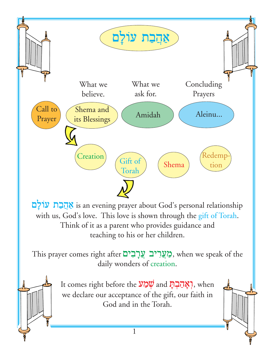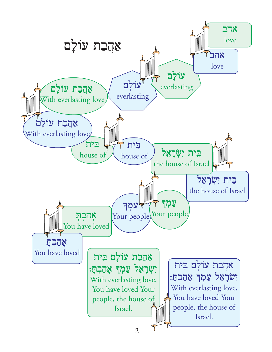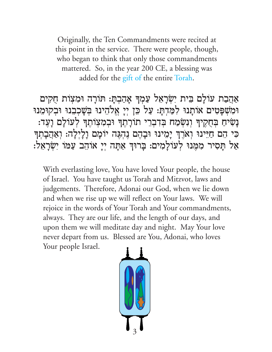Originally, the Ten Commandments were recited at this point in the service. There were people, though, who began to think that only those commandments mattered. So, in the year 200 CE, a blessing was added for the gift of the entire Torah.

אַהַבַת עוֹלָם בִּית יִשְׂרָאֵל עַמְךְּ אָהַבְתָּ: תּוֹרָה וּמִצְוֹת חֻקִים וּמִשְׁפְּטִים אוֹתָנוּ לִמַּדְתָּ: עַל כֵּן יְיָ אֱלֹהֵינוּ בְּשָׁכְבִנוּ וּבְקוּמֵנוּ נְשִׂיּחַ בְּחֻקֶיךָּ וְנִשְׂמַח בְּדִבְרֵי תוֹרָתֶךְ וּבְמִצְוֹתֶךְ לְעוֹלָם וְעֶד: כִּי הֵם חַיֵּינוּ וְאֹרֶךְ יְמִינוּ וּבְהֶם נֶהְגֶּה יוֹמָם וָלְיְלָה: וְאַהֲבְתְךָ אַל תָסִיר מִמֵּנוּ לְעוֹלָמִים: בְּרוּךְ אַתָּה יִיָ אוֹהֵב עַמּוֹ יְשָׂרָאֵל:

With everlasting love, You have loved Your people, the house of Israel. You have taught us Torah and Mitzvot, laws and judgements. Therefore, Adonai our God, when we lie down and when we rise up we will reflect on Your laws. We will rejoice in the words of Your Torah and Your commandments, always. They are our life, and the length of our days, and upon them we will meditate day and night. May Your love never depart from us. Blessed are You, Adonai, who loves Your people Israel.

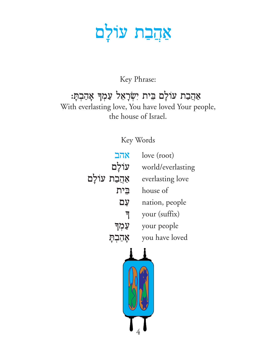## אַ<u>הִב</u>ת עוֹלְם

### Key Phrase:

### אַהֲבַת עוֹלָם בִּית יִשְׂרָאֵל עַמְךָ אָהַבְתָ: With everlasting love, You have loved Your people, the house of Israel.

Key Words

| אהב            |      | love (root)       |
|----------------|------|-------------------|
| עוֹלָם         |      | world/everlasting |
| אַהֲבַת עוֹלַם |      | everlasting love  |
|                | בֵית | house of          |
|                | עם   | nation, people    |
|                | न    | your (suffix)     |
| עַמְד          |      | your people       |
| אָהַבְתָ       |      | you have loved    |
|                |      |                   |
|                |      |                   |

214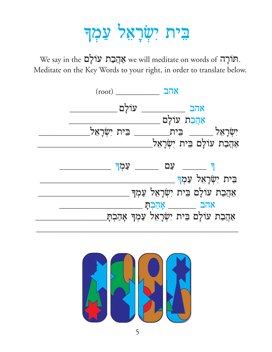# בֵּית יִשְׂרָאֵל עַמְדּ

We say in the מוֹרָם עוֹלָם we will meditate on words of תּוֹרְה. Meditate on the Key Words to your right, in order to translate below.



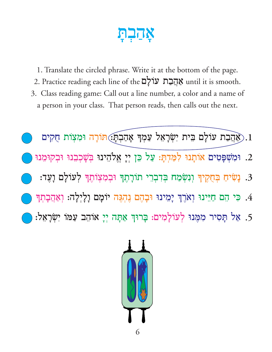- 1. Translate the circled phrase. Write it at the bottom of the page.
- 2. Practice reading each line of the עוֹלָם until it is smooth.
- 3. Class reading game: Call out a line number, a color and a name of a person in your class. That person reads, then calls out the next.



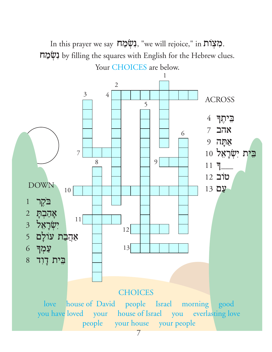In this prayer we say  $\pi\gamma\gamma$ , "we will rejoice," in  $\pi\gamma\gamma$ .  $\mu$ וֹ by filling the squares with English for the Hebrew clues. Your CHOICES are below.